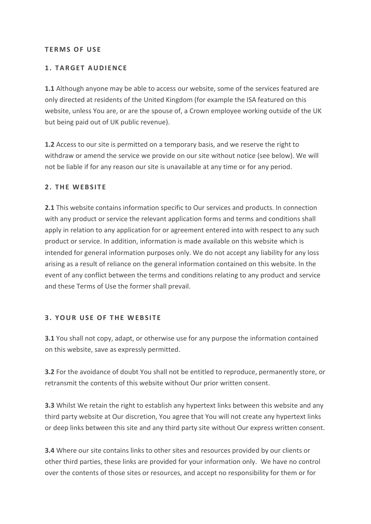### **T E R M S O F U S E**

## **1. TARGET AUDIENCE**

**1.1** Although anyone may be able to access our website, some of the services featured are only directed at residents of the United Kingdom (for example the ISA featured on this website, unless You are, or are the spouse of, a Crown employee working outside of the UK but being paid out of UK public revenue).

**1.2** Access to our site is permitted on a temporary basis, and we reserve the right to withdraw or amend the service we provide on our site without notice (see below). We will not be liable if for any reason our site is unavailable at any time or for any period.

### **2 . T H E W E B S I T E**

**2.1** This website contains information specific to Our services and products. In connection with any product or service the relevant application forms and terms and conditions shall apply in relation to any application for or agreement entered into with respect to any such product or service. In addition, information is made available on this website which is intended for general information purposes only. We do not accept any liability for any loss arising as a result of reliance on the general information contained on this website. In the event of any conflict between the terms and conditions relating to any product and service and these Terms of Use the former shall prevail.

#### **3. YOUR USE OF THE WEBSITE**

**3.1** You shall not copy, adapt, or otherwise use for any purpose the information contained on this website, save as expressly permitted.

**3.2** For the avoidance of doubt You shall not be entitled to reproduce, permanently store, or retransmit the contents of this website without Our prior written consent.

**3.3** Whilst We retain the right to establish any hypertext links between this website and any third party website at Our discretion, You agree that You will not create any hypertext links or deep links between this site and any third party site without Our express written consent.

**3.4** Where our site contains links to other sites and resources provided by our clients or other third parties, these links are provided for your information only. We have no control over the contents of those sites or resources, and accept no responsibility for them or for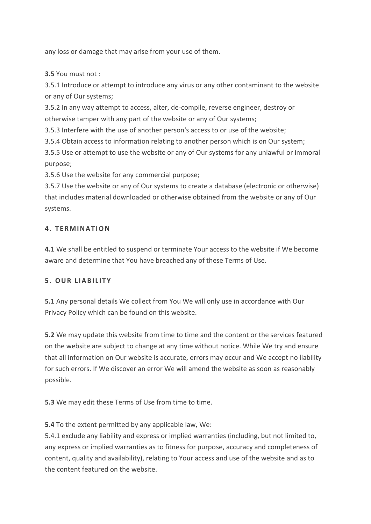any loss or damage that may arise from your use of them.

**3.5** You must not :

3.5.1 Introduce or attempt to introduce any virus or any other contaminant to the website or any of Our systems;

3.5.2 In any way attempt to access, alter, de-compile, reverse engineer, destroy or otherwise tamper with any part of the website or any of Our systems;

3.5.3 Interfere with the use of another person's access to or use of the website;

3.5.4 Obtain access to information relating to another person which is on Our system;

3.5.5 Use or attempt to use the website or any of Our systems for any unlawful or immoral purpose;

3.5.6 Use the website for any commercial purpose;

3.5.7 Use the website or any of Our systems to create a database (electronic or otherwise) that includes material downloaded or otherwise obtained from the website or any of Our systems.

# **4. T E R M I N A T I O N**

**4.1** We shall be entitled to suspend or terminate Your access to the website if We become aware and determine that You have breached any of these Terms of Use.

## **5. O U R L I A B I L I T Y**

**5.1** Any personal details We collect from You We will only use in accordance with Our Privacy Policy which can be found on this website.

**5.2** We may update this website from time to time and the content or the services featured on the website are subject to change at any time without notice. While We try and ensure that all information on Our website is accurate, errors may occur and We accept no liability for such errors. If We discover an error We will amend the website as soon as reasonably possible.

**5.3** We may edit these Terms of Use from time to time.

**5.4** To the extent permitted by any applicable law, We:

5.4.1 exclude any liability and express or implied warranties (including, but not limited to, any express or implied warranties as to fitness for purpose, accuracy and completeness of content, quality and availability), relating to Your access and use of the website and as to the content featured on the website.